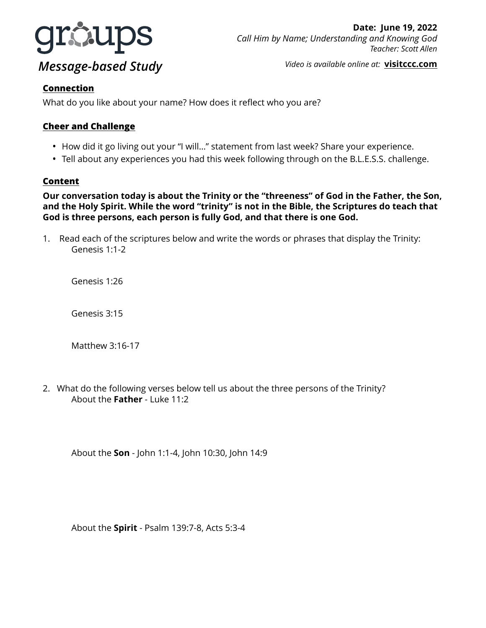

*Video is available online at:* **[visitccc.com](http://visitccc.com)**

### **Connection**

What do you like about your name? How does it reflect who you are?

## **Cheer and Challenge**

- How did it go living out your "I will…" statement from last week? Share your experience.
- Tell about any experiences you had this week following through on the B.L.E.S.S. challenge.

### **Content**

**Our conversation today is about the Trinity or the "threeness" of God in the Father, the Son, and the Holy Spirit. While the word "trinity" is not in the Bible, the Scriptures do teach that God is three persons, each person is fully God, and that there is one God.** 

1. Read each of the scriptures below and write the words or phrases that display the Trinity: Genesis 1:1-2

Genesis 1:26

Genesis 3:15

Matthew 3:16-17

2. What do the following verses below tell us about the three persons of the Trinity? About the **Father** - Luke 11:2

About the **Son** - John 1:1-4, John 10:30, John 14:9

About the **Spirit** - Psalm 139:7-8, Acts 5:3-4